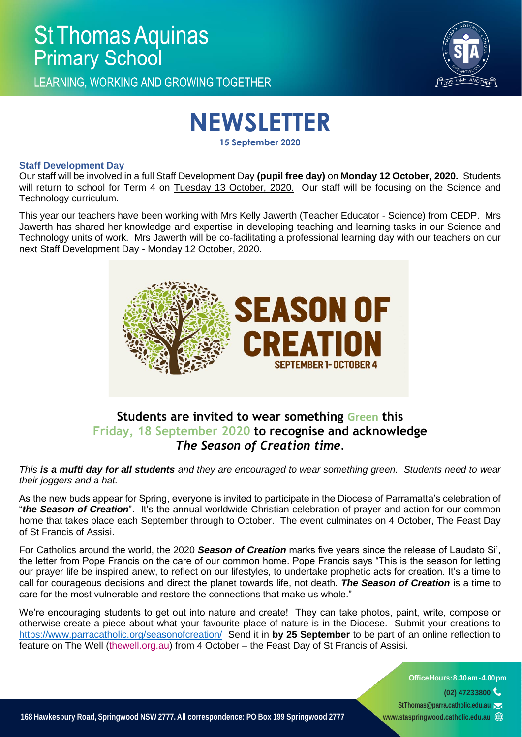LEARNING. WORKING AND GROWING TOGETHER



# **NEWSLETTER**

**15 September 2020**

#### **Staff Development Day**

Our staff will be involved in a full Staff Development Day **(pupil free day)** on **Monday 12 October, 2020.** Students will return to school for Term 4 on Tuesday 13 October, 2020. Our staff will be focusing on the Science and Technology curriculum.

This year our teachers have been working with Mrs Kelly Jawerth (Teacher Educator - Science) from CEDP. Mrs Jawerth has shared her knowledge and expertise in developing teaching and learning tasks in our Science and Technology units of work. Mrs Jawerth will be co-facilitating a professional learning day with our teachers on our next Staff Development Day - Monday 12 October, 2020.



## **Students are invited to wear something Green this Friday, 18 September 2020 to recognise and acknowledge** *The Season of Creation time.*

*This is a mufti day for all students and they are encouraged to wear something green. Students need to wear their joggers and a hat.* 

As the new buds appear for Spring, everyone is invited to participate in the Diocese of Parramatta's celebration of "*the Season of Creation*". It's the annual worldwide Christian celebration of prayer and action for our common home that takes place each September through to October. The event culminates on 4 October, The Feast Day of St Francis of Assisi.

For Catholics around the world, the 2020 *Season of Creation* marks five years since the release of Laudato Si', the letter from Pope Francis on the care of our common home. Pope Francis says "This is the season for letting our prayer life be inspired anew, to reflect on our lifestyles, to undertake prophetic acts for creation. It's a time to call for courageous decisions and direct the planet towards life, not death. *The Season of Creation* is a time to care for the most vulnerable and restore the connections that make us whole."

We're encouraging students to get out into nature and create! They can take photos, paint, write, compose or otherwise create a piece about what your favourite place of nature is in the Diocese. Submit your creations to <https://www.parracatholic.org/seasonofcreation/>Send it in **by 25 September** to be part of an online reflection to feature on The Well [\(thewell.org.au\)](http://thewell.org.au/) from 4 October – the Feast Day of St Francis of Assisi.

> **OfficeHours:8.30am-4.00pm (02) 47233800 [StThomas@parra.catholic.edu.au](mailto:StThomas@parra.catholic.edu.au) [www.staspringwood.catholic.edu.au](http://www.staspringwood.catholic.edu.au/)**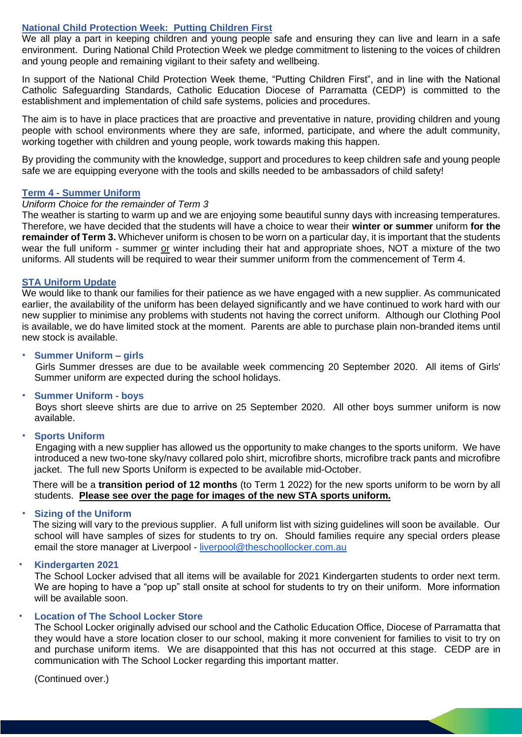#### **National Child Protection Week: Putting Children First**

We all play a part in keeping children and young people safe and ensuring they can live and learn in a safe environment. During National Child Protection Week we pledge commitment to listening to the voices of children and young people and remaining vigilant to their safety and wellbeing.

In support of the National Child Protection Week theme, "Putting Children First", and in line with the National Catholic Safeguarding Standards, Catholic Education Diocese of Parramatta (CEDP) is committed to the establishment and implementation of child safe systems, policies and procedures.

The aim is to have in place practices that are proactive and preventative in nature, providing children and young people with school environments where they are safe, informed, participate, and where the adult community, working together with children and young people, work towards making this happen.

By providing the community with the knowledge, support and procedures to keep children safe and young people safe we are equipping everyone with the tools and skills needed to be ambassadors of child safety!

#### **Term 4 - Summer Uniform**

#### *Uniform Choice for the remainder of Term 3*

The weather is starting to warm up and we are enjoying some beautiful sunny days with increasing temperatures. Therefore, we have decided that the students will have a choice to wear their **winter or summer** uniform **for the remainder of Term 3.** Whichever uniform is chosen to be worn on a particular day, it is important that the students wear the full uniform - summer or winter including their hat and appropriate shoes, NOT a mixture of the two uniforms. All students will be required to wear their summer uniform from the commencement of Term 4.

#### **STA Uniform Update**

We would like to thank our families for their patience as we have engaged with a new supplier. As communicated earlier, the availability of the uniform has been delayed significantly and we have continued to work hard with our new supplier to minimise any problems with students not having the correct uniform. Although our Clothing Pool is available, we do have limited stock at the moment. Parents are able to purchase plain non-branded items until new stock is available.

#### **Summer Uniform – girls**

 Girls Summer dresses are due to be available week commencing 20 September 2020. All items of Girls' Summer uniform are expected during the school holidays.

#### **Summer Uniform - boys**

 Boys short sleeve shirts are due to arrive on 25 September 2020. All other boys summer uniform is now available.

#### **Sports Uniform**

 Engaging with a new supplier has allowed us the opportunity to make changes to the sports uniform. We have introduced a new two-tone sky/navy collared polo shirt, microfibre shorts, microfibre track pants and microfibre jacket. The full new Sports Uniform is expected to be available mid-October.

 There will be a **transition period of 12 months** (to Term 1 2022) for the new sports uniform to be worn by all students. **Please see over the page for images of the new STA sports uniform.**

#### **Sizing of the Uniform**

 The sizing will vary to the previous supplier. A full uniform list with sizing guidelines will soon be available. Our school will have samples of sizes for students to try on. Should families require any special orders please email the store manager at Liverpool - [liverpool@theschoollocker.com.au](mailto:liverpool@theschoollocker.com.au)

**Kindergarten 2021**

The School Locker advised that all items will be available for 2021 Kindergarten students to order next term. We are hoping to have a "pop up" stall onsite at school for students to try on their uniform. More information will be available soon.

#### **Location of The School Locker Store**

The School Locker originally advised our school and the Catholic Education Office, Diocese of Parramatta that they would have a store location closer to our school, making it more convenient for families to visit to try on and purchase uniform items. We are disappointed that this has not occurred at this stage. CEDP are in communication with The School Locker regarding this important matter.

(Continued over.)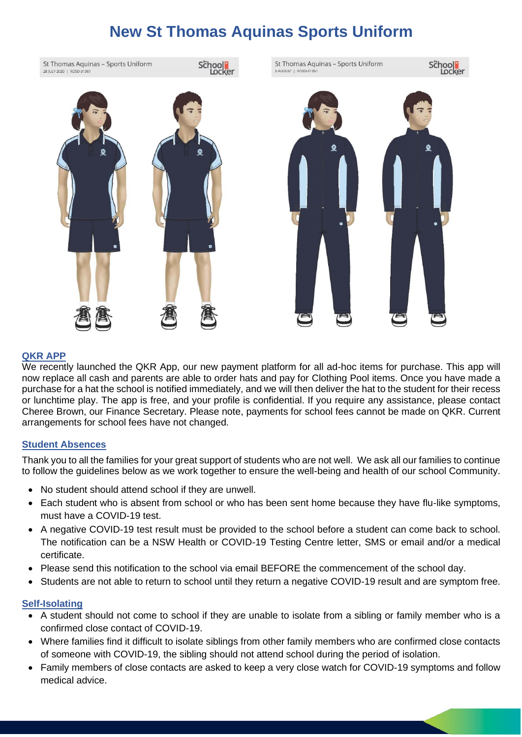# **New St Thomas Aquinas Sports Uniform**

St Thomas Aquinas - Sports Uniform





### **QKR APP**

We recently launched the QKR App, our new payment platform for all ad-hoc items for purchase. This app will now replace all cash and parents are able to order hats and pay for Clothing Pool items. Once you have made a purchase for a hat the school is notified immediately, and we will then deliver the hat to the student for their recess or lunchtime play. The app is free, and your profile is confidential. If you require any assistance, please contact Cheree Brown, our Finance Secretary. Please note, payments for school fees cannot be made on QKR. Current arrangements for school fees have not changed.

#### **Student Absences**

Thank you to all the families for your great support of students who are not well. We ask all our families to continue to follow the guidelines below as we work together to ensure the well-being and health of our school Community.

- No student should attend school if they are unwell.
- Each student who is absent from school or who has been sent home because they have flu-like symptoms, must have a COVID-19 test.
- A negative COVID-19 test result must be provided to the school before a student can come back to school. The notification can be a NSW Health or COVID-19 Testing Centre letter, SMS or email and/or a medical certificate.
- Please send this notification to the school via email BEFORE the commencement of the school day.
- Students are not able to return to school until they return a negative COVID-19 result and are symptom free.

#### **Self-Isolating**

- A student should not come to school if they are unable to isolate from a sibling or family member who is a confirmed close contact of COVID-19.
- Where families find it difficult to isolate siblings from other family members who are confirmed close contacts of someone with COVID-19, the sibling should not attend school during the period of isolation.
- Family members of close contacts are asked to keep a very close watch for COVID-19 symptoms and follow medical advice.